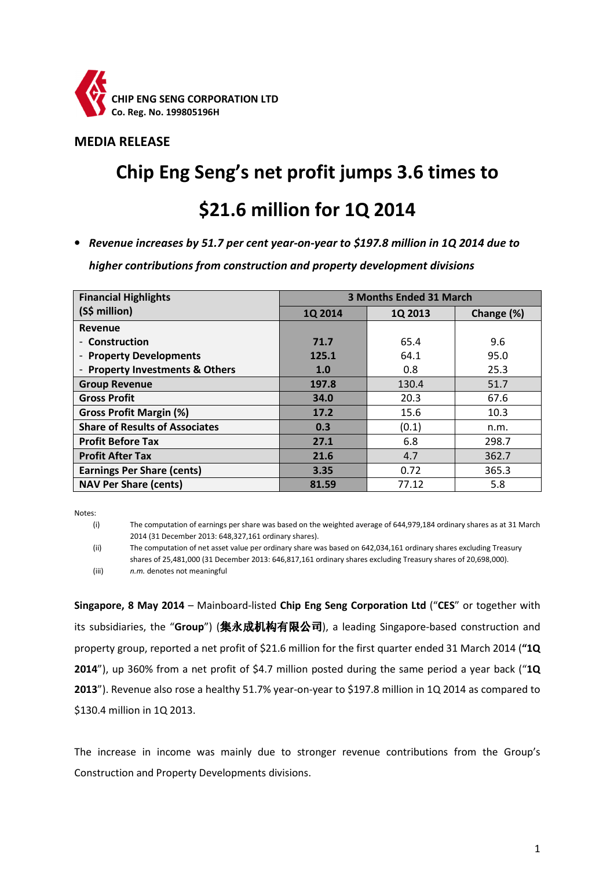

### MEDIA RELEASE

# Chip Eng Seng's net profit jumps 3.6 times to

## \$21.6 million for 1Q 2014

• Revenue increases by 51.7 per cent year-on-year to \$197.8 million in 1Q 2014 due to

higher contributions from construction and property development divisions

| <b>Financial Highlights</b>              | 3 Months Ended 31 March |         |            |
|------------------------------------------|-------------------------|---------|------------|
| (S\$ million)                            | 1Q 2014                 | 1Q 2013 | Change (%) |
| <b>Revenue</b>                           |                         |         |            |
| Construction                             | 71.7                    | 65.4    | 9.6        |
| <b>Property Developments</b>             | 125.1                   | 64.1    | 95.0       |
| <b>Property Investments &amp; Others</b> | 1.0                     | 0.8     | 25.3       |
| <b>Group Revenue</b>                     | 197.8                   | 130.4   | 51.7       |
| <b>Gross Profit</b>                      | 34.0                    | 20.3    | 67.6       |
| <b>Gross Profit Margin (%)</b>           | 17.2                    | 15.6    | 10.3       |
| <b>Share of Results of Associates</b>    | 0.3                     | (0.1)   | n.m.       |
| <b>Profit Before Tax</b>                 | 27.1                    | 6.8     | 298.7      |
| <b>Profit After Tax</b>                  | 21.6                    | 4.7     | 362.7      |
| <b>Earnings Per Share (cents)</b>        | 3.35                    | 0.72    | 365.3      |
| <b>NAV Per Share (cents)</b>             | 81.59                   | 77.12   | 5.8        |

Notes:

(i) The computation of earnings per share was based on the weighted average of 644,979,184 ordinary shares as at 31 March 2014 (31 December 2013: 648,327,161 ordinary shares).

(ii) The computation of net asset value per ordinary share was based on 642,034,161 ordinary shares excluding Treasury shares of 25,481,000 (31 December 2013: 646,817,161 ordinary shares excluding Treasury shares of 20,698,000). (iii) n.m. denotes not meaningful

Singapore, 8 May 2014 – Mainboard-listed Chip Eng Seng Corporation Ltd ("CES" or together with its subsidiaries, the "Group") (集永成机构有限公司), a leading Singapore-based construction and property group, reported a net profit of \$21.6 million for the first quarter ended 31 March 2014 ("1Q 2014"), up 360% from a net profit of \$4.7 million posted during the same period a year back ("1Q 2013"). Revenue also rose a healthy 51.7% year-on-year to \$197.8 million in 1Q 2014 as compared to \$130.4 million in 1Q 2013.

The increase in income was mainly due to stronger revenue contributions from the Group's Construction and Property Developments divisions.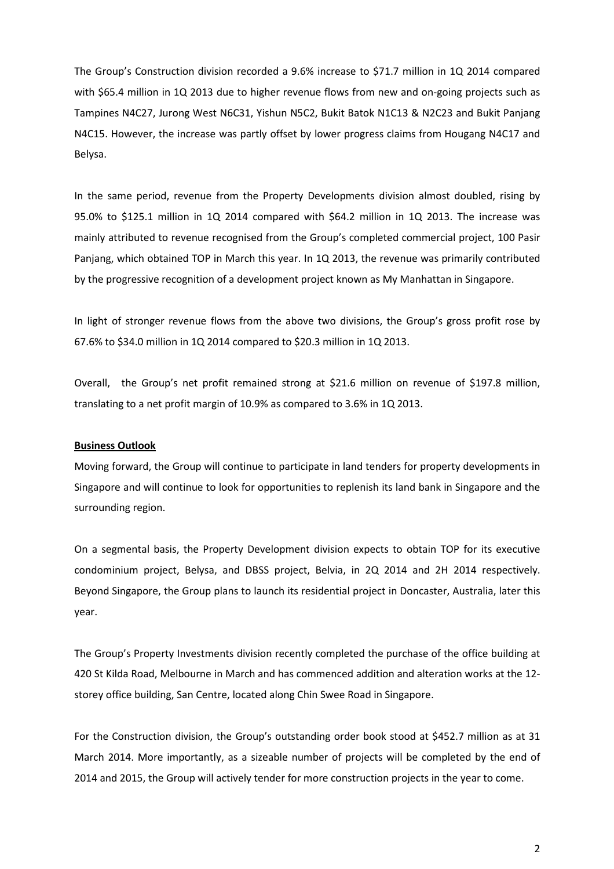The Group's Construction division recorded a 9.6% increase to \$71.7 million in 1Q 2014 compared with \$65.4 million in 1Q 2013 due to higher revenue flows from new and on-going projects such as Tampines N4C27, Jurong West N6C31, Yishun N5C2, Bukit Batok N1C13 & N2C23 and Bukit Panjang N4C15. However, the increase was partly offset by lower progress claims from Hougang N4C17 and Belysa.

In the same period, revenue from the Property Developments division almost doubled, rising by 95.0% to \$125.1 million in 1Q 2014 compared with \$64.2 million in 1Q 2013. The increase was mainly attributed to revenue recognised from the Group's completed commercial project, 100 Pasir Panjang, which obtained TOP in March this year. In 1Q 2013, the revenue was primarily contributed by the progressive recognition of a development project known as My Manhattan in Singapore.

In light of stronger revenue flows from the above two divisions, the Group's gross profit rose by 67.6% to \$34.0 million in 1Q 2014 compared to \$20.3 million in 1Q 2013.

Overall, the Group's net profit remained strong at \$21.6 million on revenue of \$197.8 million, translating to a net profit margin of 10.9% as compared to 3.6% in 1Q 2013.

#### Business Outlook

Moving forward, the Group will continue to participate in land tenders for property developments in Singapore and will continue to look for opportunities to replenish its land bank in Singapore and the surrounding region.

On a segmental basis, the Property Development division expects to obtain TOP for its executive condominium project, Belysa, and DBSS project, Belvia, in 2Q 2014 and 2H 2014 respectively. Beyond Singapore, the Group plans to launch its residential project in Doncaster, Australia, later this year.

The Group's Property Investments division recently completed the purchase of the office building at 420 St Kilda Road, Melbourne in March and has commenced addition and alteration works at the 12 storey office building, San Centre, located along Chin Swee Road in Singapore.

For the Construction division, the Group's outstanding order book stood at \$452.7 million as at 31 March 2014. More importantly, as a sizeable number of projects will be completed by the end of 2014 and 2015, the Group will actively tender for more construction projects in the year to come.